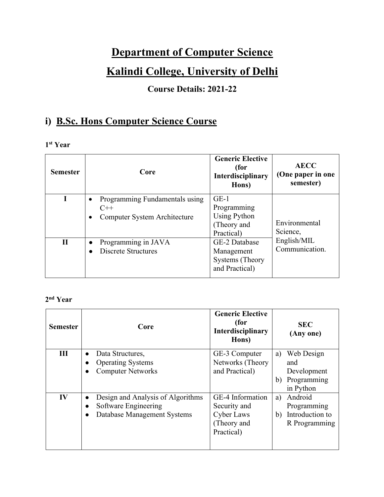## **Department of Computer Science**

## **Kalindi College, University of Delhi**

### **Course Details: 2021-22**

### **i) B.Sc. Hons Computer Science Course**

#### **1 st Year**

| <b>Semester</b> | Core                                                                                              | <b>Generic Elective</b><br>(for<br>Interdisciplinary<br>Hons)             | <b>AECC</b><br>(One paper in one<br>semester) |
|-----------------|---------------------------------------------------------------------------------------------------|---------------------------------------------------------------------------|-----------------------------------------------|
|                 | Programming Fundamentals using<br>$\bullet$<br>$C++$<br>Computer System Architecture<br>$\bullet$ | $GE-1$<br>Programming<br><b>Using Python</b><br>(Theory and<br>Practical) | Environmental<br>Science,                     |
| $\mathbf{H}$    | Programming in JAVA<br>$\bullet$<br><b>Discrete Structures</b>                                    | GE-2 Database<br>Management<br>Systems (Theory)<br>and Practical)         | English/MIL<br>Communication.                 |

#### **2 nd Year**

| <b>Semester</b> | Core                                                                                     | <b>Generic Elective</b><br>(for<br><b>Interdisciplinary</b><br>Hons)        | SEC.<br>(Any one)                                                        |
|-----------------|------------------------------------------------------------------------------------------|-----------------------------------------------------------------------------|--------------------------------------------------------------------------|
| Ш               | Data Structures,<br>$\bullet$<br><b>Operating Systems</b><br><b>Computer Networks</b>    | GE-3 Computer<br>Networks (Theory<br>and Practical)                         | Web Design<br>a)<br>and<br>Development<br>Programming<br>b)<br>in Python |
| IV              | Design and Analysis of Algorithms<br>Software Engineering<br>Database Management Systems | GE-4 Information<br>Security and<br>Cyber Laws<br>(Theory and<br>Practical) | Android<br>a)<br>Programming<br>Introduction to<br>b)<br>R Programming   |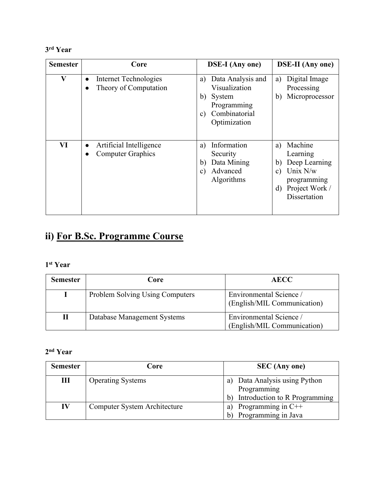#### **3 rd Year**

| <b>Semester</b> | Core                                                        | <b>DSE-I</b> (Any one)                                                                                                    | <b>DSE-II</b> (Any one)                                                                                                        |
|-----------------|-------------------------------------------------------------|---------------------------------------------------------------------------------------------------------------------------|--------------------------------------------------------------------------------------------------------------------------------|
| $\bf V$         | Internet Technologies<br>$\bullet$<br>Theory of Computation | Data Analysis and<br>a)<br>Visualization<br>b)<br>System<br>Programming<br>Combinatorial<br>$\mathbf{c})$<br>Optimization | Digital Image<br>a)<br>Processing<br>Microprocessor<br>b)                                                                      |
| VI              | Artificial Intelligence<br><b>Computer Graphics</b>         | Information<br>a)<br>Security<br>Data Mining<br>b)<br>Advanced<br>$\mathbf{c}$ )<br>Algorithms                            | Machine<br>a)<br>Learning<br>Deep Learning<br>b)<br>Unix N/w<br>C)<br>programming<br>Project Work /<br>$\rm d$<br>Dissertation |

# **ii) For B.Sc. Programme Course**

#### **1 st Year**

| <b>Semester</b> | Core                                   | <b>AECC</b>                                            |  |
|-----------------|----------------------------------------|--------------------------------------------------------|--|
|                 | <b>Problem Solving Using Computers</b> | Environmental Science /<br>(English/MIL Communication) |  |
| П               | Database Management Systems            | Environmental Science/<br>(English/MIL Communication)  |  |

#### **2 nd Year**

| <b>Semester</b> | Core                         | <b>SEC</b> (Any one)                           |
|-----------------|------------------------------|------------------------------------------------|
| Ш               | <b>Operating Systems</b>     | Data Analysis using Python<br>a<br>Programming |
|                 |                              | Introduction to R Programming<br>$\mathbf b$   |
| IV              | Computer System Architecture | Programming in $C++$<br>a)                     |
|                 |                              | Programming in Java<br>$\mathsf{b}$            |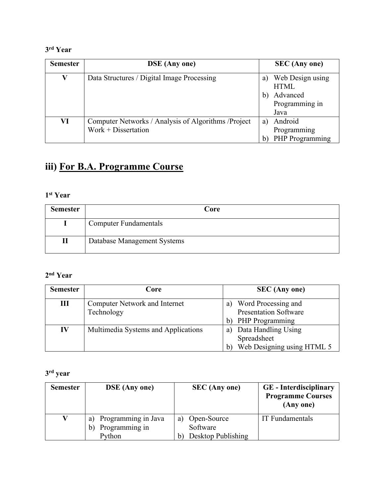#### **3 rd Year**

| <b>Semester</b> | <b>DSE</b> (Any one)                                 |    | <b>SEC</b> (Any one) |
|-----------------|------------------------------------------------------|----|----------------------|
| V               | Data Structures / Digital Image Processing           | a) | Web Design using     |
|                 |                                                      |    | <b>HTML</b>          |
|                 |                                                      | b) | Advanced             |
|                 |                                                      |    | Programming in       |
|                 |                                                      |    | Java                 |
| VI              | Computer Networks / Analysis of Algorithms / Project | a) | Android              |
|                 | $Work + Discentration$                               |    | Programming          |
|                 |                                                      |    | PHP Programming      |

# **iii) For B.A. Programme Course**

#### **1 st Year**

| <b>Semester</b> | Core                         |  |  |
|-----------------|------------------------------|--|--|
|                 | <b>Computer Fundamentals</b> |  |  |
| П               | Database Management Systems  |  |  |

#### **2 nd Year**

| <b>Semester</b> | Core                                 | <b>SEC</b> (Any one)                   |
|-----------------|--------------------------------------|----------------------------------------|
| Ш               | <b>Computer Network and Internet</b> | Word Processing and<br>a)              |
|                 | Technology                           | <b>Presentation Software</b>           |
|                 |                                      | <b>PHP</b> Programming<br>$\mathbf{b}$ |
| IV              | Multimedia Systems and Applications  | Data Handling Using<br>a)              |
|                 |                                      | Spreadsheet                            |
|                 |                                      | Web Designing using HTML 5<br>b        |

#### **3 rd year**

| <b>Semester</b> | <b>DSE</b> (Any one)                                        | <b>SEC</b> (Any one)                                                | <b>GE</b> - Interdisciplinary<br><b>Programme Courses</b><br>(Any one) |
|-----------------|-------------------------------------------------------------|---------------------------------------------------------------------|------------------------------------------------------------------------|
|                 | Programming in Java<br>a)<br>Programming in<br>b)<br>Python | Open-Source<br>a)<br>Software<br>Desktop Publishing<br>$\mathbf{b}$ | IT Fundamentals                                                        |